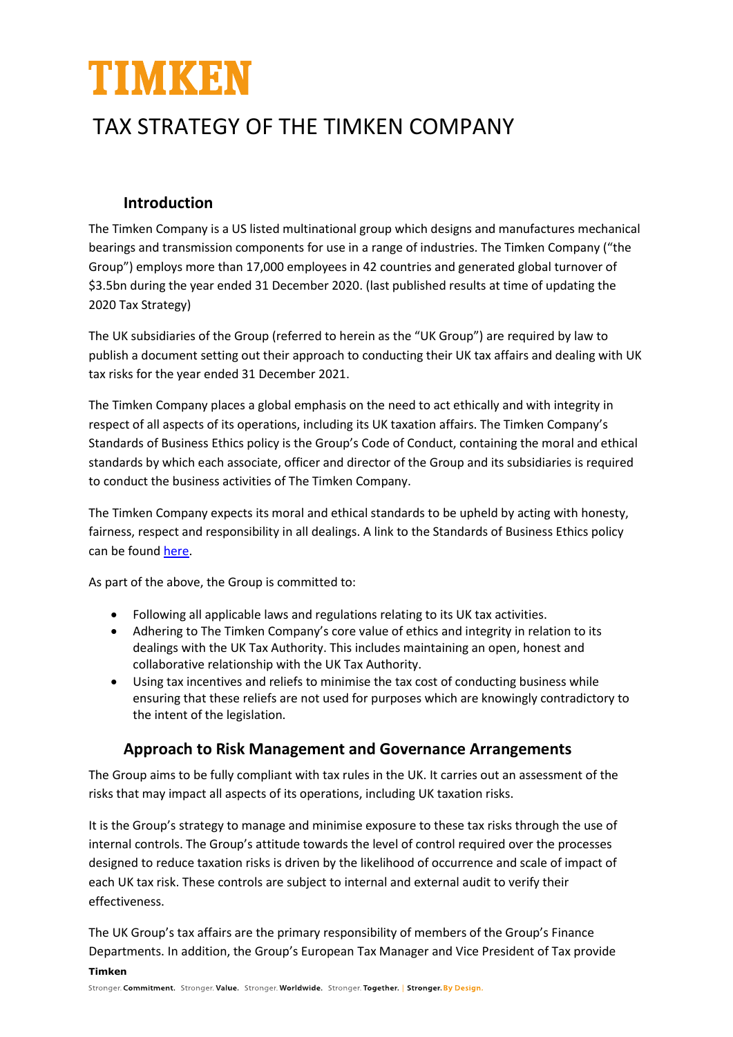# TIMKEN

## TAX STRATEGY OF THE TIMKEN COMPANY

#### **Introduction**

The Timken Company is a US listed multinational group which designs and manufactures mechanical bearings and transmission components for use in a range of industries. The Timken Company ("the Group") employs more than 17,000 employees in 42 countries and generated global turnover of \$3.5bn during the year ended 31 December 2020. (last published results at time of updating the 2020 Tax Strategy)

The UK subsidiaries of the Group (referred to herein as the "UK Group") are required by law to publish a document setting out their approach to conducting their UK tax affairs and dealing with UK tax risks for the year ended 31 December 2021.

The Timken Company places a global emphasis on the need to act ethically and with integrity in respect of all aspects of its operations, including its UK taxation affairs. The Timken Company's Standards of Business Ethics policy is the Group's Code of Conduct, containing the moral and ethical standards by which each associate, officer and director of the Group and its subsidiaries is required to conduct the business activities of The Timken Company.

The Timken Company expects its moral and ethical standards to be upheld by acting with honesty, fairness, respect and responsibility in all dealings. A link to the Standards of Business Ethics policy can be found [here.](https://www.timken.com/wp-content/uploads/2017/02/Timken-Standards-of-Business-Ethics-EN.pdf)

As part of the above, the Group is committed to:

- Following all applicable laws and regulations relating to its UK tax activities.
- Adhering to The Timken Company's core value of ethics and integrity in relation to its dealings with the UK Tax Authority. This includes maintaining an open, honest and collaborative relationship with the UK Tax Authority.
- Using tax incentives and reliefs to minimise the tax cost of conducting business while ensuring that these reliefs are not used for purposes which are knowingly contradictory to the intent of the legislation.

#### **Approach to Risk Management and Governance Arrangements**

The Group aims to be fully compliant with tax rules in the UK. It carries out an assessment of the risks that may impact all aspects of its operations, including UK taxation risks.

It is the Group's strategy to manage and minimise exposure to these tax risks through the use of internal controls. The Group's attitude towards the level of control required over the processes designed to reduce taxation risks is driven by the likelihood of occurrence and scale of impact of each UK tax risk. These controls are subject to internal and external audit to verify their effectiveness.

**Timken**  The UK Group's tax affairs are the primary responsibility of members of the Group's Finance Departments. In addition, the Group's European Tax Manager and Vice President of Tax provide